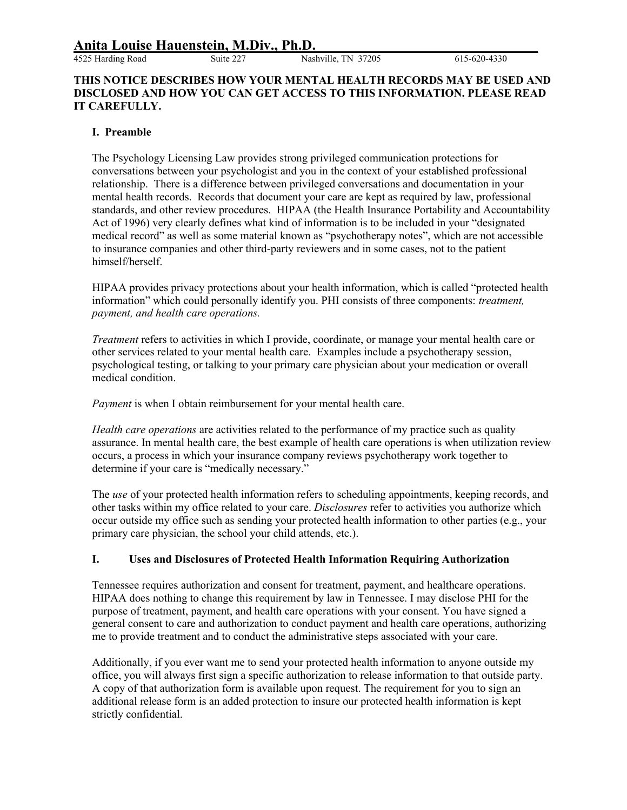Suite 227 Nashville, TN 37205 615-620-4330

#### **THIS NOTICE DESCRIBES HOW YOUR MENTAL HEALTH RECORDS MAY BE USED AND DISCLOSED AND HOW YOU CAN GET ACCESS TO THIS INFORMATION. PLEASE READ IT CAREFULLY.**

### **I. Preamble**

The Psychology Licensing Law provides strong privileged communication protections for conversations between your psychologist and you in the context of your established professional relationship. There is a difference between privileged conversations and documentation in your mental health records. Records that document your care are kept as required by law, professional standards, and other review procedures. HIPAA (the Health Insurance Portability and Accountability Act of 1996) very clearly defines what kind of information is to be included in your "designated medical record" as well as some material known as "psychotherapy notes", which are not accessible to insurance companies and other third-party reviewers and in some cases, not to the patient himself/herself.

HIPAA provides privacy protections about your health information, which is called "protected health information" which could personally identify you. PHI consists of three components: *treatment, payment, and health care operations.*

*Treatment* refers to activities in which I provide, coordinate, or manage your mental health care or other services related to your mental health care. Examples include a psychotherapy session, psychological testing, or talking to your primary care physician about your medication or overall medical condition.

*Payment* is when I obtain reimbursement for your mental health care.

*Health care operations* are activities related to the performance of my practice such as quality assurance. In mental health care, the best example of health care operations is when utilization review occurs, a process in which your insurance company reviews psychotherapy work together to determine if your care is "medically necessary."

The *use* of your protected health information refers to scheduling appointments, keeping records, and other tasks within my office related to your care. *Disclosures* refer to activities you authorize which occur outside my office such as sending your protected health information to other parties (e.g., your primary care physician, the school your child attends, etc.).

#### **I. Uses and Disclosures of Protected Health Information Requiring Authorization**

Tennessee requires authorization and consent for treatment, payment, and healthcare operations. HIPAA does nothing to change this requirement by law in Tennessee. I may disclose PHI for the purpose of treatment, payment, and health care operations with your consent. You have signed a general consent to care and authorization to conduct payment and health care operations, authorizing me to provide treatment and to conduct the administrative steps associated with your care.

Additionally, if you ever want me to send your protected health information to anyone outside my office, you will always first sign a specific authorization to release information to that outside party. A copy of that authorization form is available upon request. The requirement for you to sign an additional release form is an added protection to insure our protected health information is kept strictly confidential.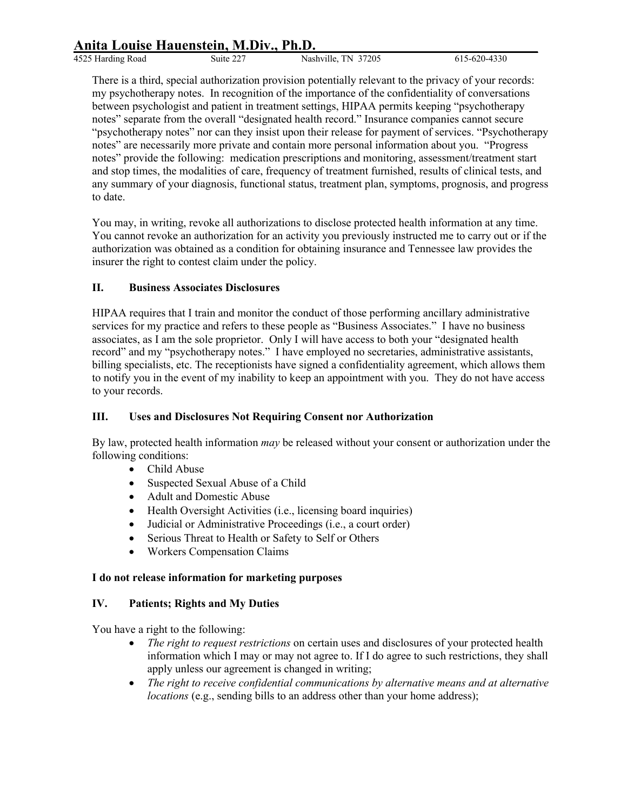# **Anita Louise Hauenstein, M.Div., Ph.D.\_\_\_\_\_\_\_\_\_\_\_\_\_\_\_\_\_\_\_\_\_\_\_\_\_\_\_\_\_\_\_**

4525 Harding Road Suite 227 Nashville, TN 37205 615-620-4330

There is a third, special authorization provision potentially relevant to the privacy of your records: my psychotherapy notes. In recognition of the importance of the confidentiality of conversations between psychologist and patient in treatment settings, HIPAA permits keeping "psychotherapy notes" separate from the overall "designated health record." Insurance companies cannot secure "psychotherapy notes" nor can they insist upon their release for payment of services. "Psychotherapy notes" are necessarily more private and contain more personal information about you. "Progress notes" provide the following: medication prescriptions and monitoring, assessment/treatment start and stop times, the modalities of care, frequency of treatment furnished, results of clinical tests, and any summary of your diagnosis, functional status, treatment plan, symptoms, prognosis, and progress to date.

You may, in writing, revoke all authorizations to disclose protected health information at any time. You cannot revoke an authorization for an activity you previously instructed me to carry out or if the authorization was obtained as a condition for obtaining insurance and Tennessee law provides the insurer the right to contest claim under the policy.

## **II. Business Associates Disclosures**

HIPAA requires that I train and monitor the conduct of those performing ancillary administrative services for my practice and refers to these people as "Business Associates." I have no business associates, as I am the sole proprietor. Only I will have access to both your "designated health record" and my "psychotherapy notes." I have employed no secretaries, administrative assistants, billing specialists, etc. The receptionists have signed a confidentiality agreement, which allows them to notify you in the event of my inability to keep an appointment with you. They do not have access to your records.

#### **III. Uses and Disclosures Not Requiring Consent nor Authorization**

By law, protected health information *may* be released without your consent or authorization under the following conditions:

- Child Abuse
- Suspected Sexual Abuse of a Child
- Adult and Domestic Abuse
- Health Oversight Activities (i.e., licensing board inquiries)
- Judicial or Administrative Proceedings (i.e., a court order)
- Serious Threat to Health or Safety to Self or Others
- Workers Compensation Claims

#### **I do not release information for marketing purposes**

#### **IV. Patients; Rights and My Duties**

You have a right to the following:

- *The right to request restrictions* on certain uses and disclosures of your protected health information which I may or may not agree to. If I do agree to such restrictions, they shall apply unless our agreement is changed in writing;
- *The right to receive confidential communications by alternative means and at alternative locations* (e.g., sending bills to an address other than your home address);